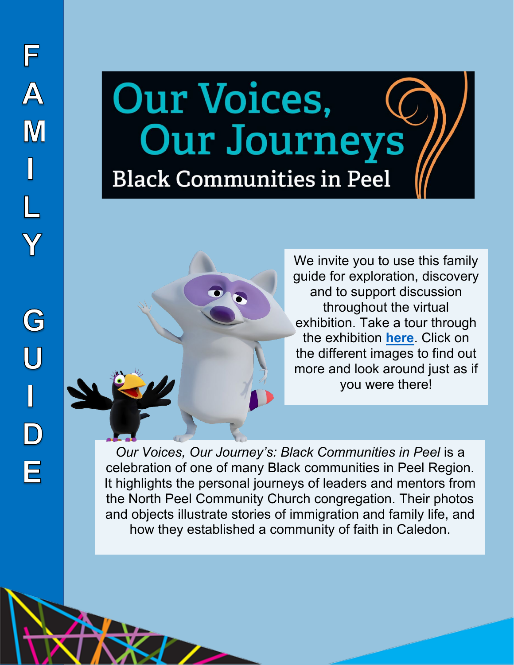# Our Voices, **Our Journeys Black Communities in Peel**



We invite you to use this family guide for exploration, discovery and to support discussion throughout the virtual exhibition. Take a tour through the exhibition **[here](https://peelregion.ca/pama/our-voices-our-journeys/)**. Click on the different images to find out more and look around just as if you were there!

*Our Voices, Our Journey's: Black Communities in Peel* is a celebration of one of many Black communities in Peel Region. It highlights the personal journeys of leaders and mentors from the North Peel Community Church congregation. Their photos and objects illustrate stories of immigration and family life, and how they established a community of faith in Caledon.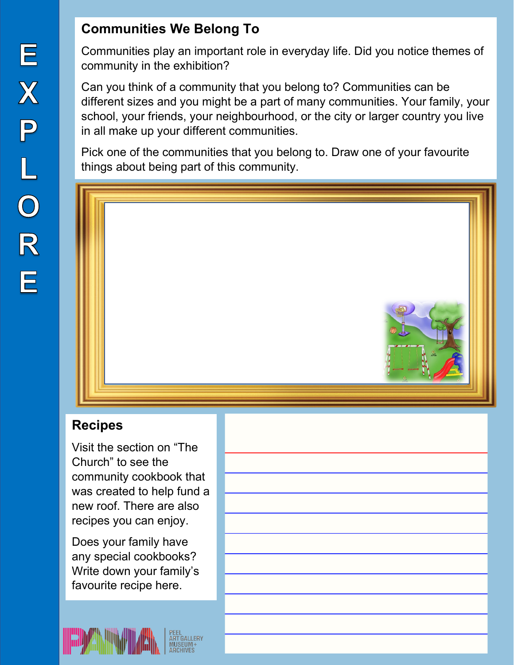## **Communities We Belong To**

Communities play an important role in everyday life. Did you notice themes of community in the exhibition?

Can you think of a community that you belong to? Communities can be different sizes and you might be a part of many communities. Your family, your school, your friends, your neighbourhood, or the city or larger country you live in all make up your different communities.

Pick one of the communities that you belong to. Draw one of your favourite things about being part of this community.



## **Recipes**

Visit the section on "The Church" to see the community cookbook that was created to help fund a new roof. There are also recipes you can enjoy.

Does your family have any special cookbooks? Write down your family's favourite recipe here.